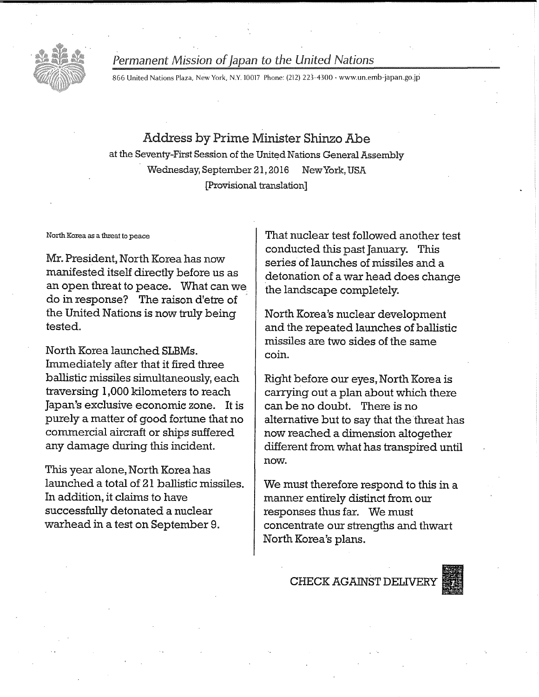

## Permanent Mission of Japan to the United Nations

866 United Nations Plaza, New York, N.Y. 10017 Phone: (212) 223-4300 • www.un.emb-japan.go.jp

# Address by Prime Minister Shinzo Abe

at the Seventy-First Session of the United Nations General Assembly Wednesday, September 21, 2016 New York, USA [Provisional translation]

North Korea as a threat to peace

Mr. President, North Korea has now manifested itself directly before us as an open threat to peace. What can we do in response? The raison d'etre of the United Nations is now truly being tested.

North Korea launched SLBMs. Immediately after that it fired three ballistic missiles simultaneously, each traversing 1,000 kilometers to reach Japan's exclusive economic zone. It is purely a matter of good fortune that no commercial aircraft or ships suffered any damage during this incident.

This year alone, North Korea has launched a total of 21 ballistic missiles. In addition, it claims to have successfully detonated a nuclear warhead in a test on September 9.

That nuclear test followed another test conducted this past January. This series of launches of missiles and a detonation of a war head does change the landscape completely.

North Korea's nuclear development and the repeated launches of ballistic missiles are two sides of the same coin.

Right before our eyes, North Korea is carrying out a plan about which there can be no doubt. There is no alternative but to say that the threat has now reached a dimension altogether different from what has transpired until now.

We must therefore respond to this in a manner entirely distinct from our responses thus far. We must concentrate our strengths and thwart North Korea's plans.

CHECK AGAINST DELIVER

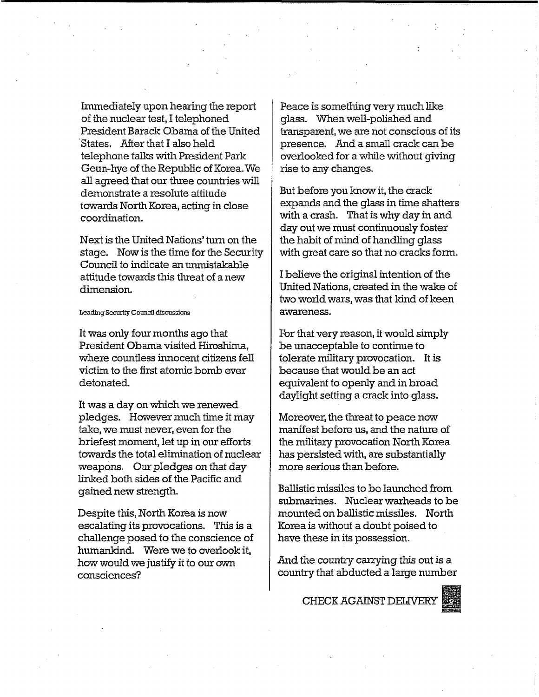Immediately upon hearing the report of the nuclear test, I telephoned President Barack Obama of the United States. After that I also held telephone talks with President Park Geun-hye of the Republic of Korea.We all agreed that our three countries will demonstrate a resolute attitude towards North Korea, acting in close coordination.

Next is the United Nations' turn on the stage. Now is the time for the Security Council to indicate an unmistakable attitude towards this threat of a new dimension.

## Leading Security Council discussions

It was only four months ago that President Obama visited Hiroshima, where countless innocent citizens fell victim to the first atomic bomb ever detonated.

It was a day on which we renewed pledges. However much time it may take, we must never, even for the briefest moment, let up in our efforts towards the total elimination of nuclear weapons. Our pledges on that day linked both sides of the Pacific and gained new strength.

Despite this, North Korea is now escalating its provocations. This is a challenge posed to the conscience of humankind. Were we to overlook it, how would we justify it to our own consciences?

Peace is something very much like glass. When well-polished and transparent, we are not conscious of its presence. And a small crack can be overlooked for a while without giving rise to any changes.

But before you know it, the crack expands and the glass in time shatters with a crash. That is why day in and day out we must continuously foster the habit of mind of handling glass with great care so that no cracks form.

I believe the original intention of the United Nations, created in the wake of two world wars, was that kind of keen awareness.

For that very reason, it would simply be unacceptable to continue to tolerate military provocation. It is because that would be an act equivalent to openly and in broad daylight setting a crack into glass.

Moreover, the threat to peace now manifest before us, and the nature of the military provocation North Korea has persisted with, are substantially more serious than before.

Ballistic missiles to be launched from submarines. Nuclear warheads to be mounted on ballistic missiles. North Korea is without a doubt poised to have these in its possession.

And the country carrying this out is a country that abducted a large number

CHECK AGAINST DEMVERY

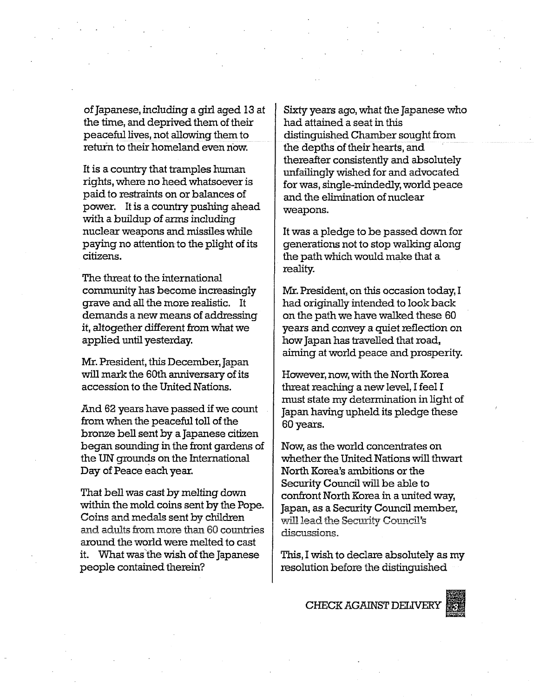of Japanese, including a girl aged 13 at the time, and deprived them of their peaceful lives, not allowing them to return to their homeland even now.

It is a country that tramples human rights, where no heed whatsoever is paid to restraints on or balances of power. It is a country pushing ahead with a buildup of arms including nuclear weapons and missiles while paying no attention to the plight of its citizens.

The threat to the international community has become increasingly grave and all the more realistic. It demands a new means of addressing it, altogether different from what we applied until yesterday.

Mr. President, this December, Japan will mark the 60th anniversary of its accession to the United Nations.

And 62 years have passed if we count from when the peaceful toll of the bronze bell sent by a Japanese citizen began sounding in the front gardens of the UN grounds on the International Day of Peace each year.

That bell was cast by melting down within the mold coins sent by the Pope. Coins and medals sent by children and adults from more than 60 countries around the world were melted to cast it. What was the wish of the Japanese people contained therein?

Sixty years ago, what the Japanese who had attained a seat in this distinguished Chamber sought from the depths of their hearts, and thereafter consistently and absolutely unfailingly wished for and advocated for was, single-mindedly, world peace and the elimination of nuclear weapons.

It was a pledge to be passed down for generations not to stop walking along the path which would make that a reality.

Mr. President, on this occasion today, I had originally intended to look back on the path we have walked these 60 years and convey a quiet reflection on how Japan has travelled that road, aiming at world peace and prosperity.

However, now, with the North Korea threat reaching a new level, I feel I must state my determination in light of Japan having upheld its pledge these 60 years.

Now, as the world concentrates on whether the United Nations will thwart North Korea's ambitions or the Security Council will be able to confront North Korea in a united way, Japan, as a Security Council member, will lead the Security Council's discussions.

This, I wish to declare absolutely as my resolution before the distinguished

CHECK AGAINST DELIVERY

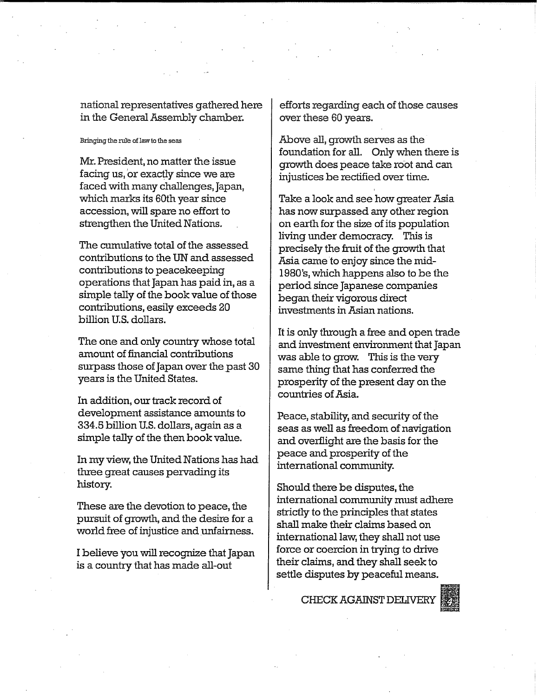national representatives gathered here in the General Assembly chamber.

## Bringing the rule of law to the seas

Mr. President, no matter the issue facing us, or exactly since we are faced with many challenges, Japan, which marks its 60th year since accession, will spare no effort to strengthen the United Nations.

The cumulative total of the assessed contributions to the UN and assessed contributions to peacekeeping operations that Japan has paid in, as a simple tally of the book value of those contributions, easily exceeds 20 billion U.S. dollars.

The one and only country whose total amount of financial contributions surpass those of Japan over the past 30 years is the United States.

In addition, our track record of development assistance amounts to 334.5 billion U.S. dollars, again as a simple tally of the then book value.

In my view, the United Nations has had three great causes pervading its history.

These are the devotion to peace, the pursuit of growth, and the desire for a world free of injustice and unfairness.

I believe you will recognize that Japan is a country that has made all-out

efforts regarding each of those causes over these 60 years.

Above all, growth serves as the foundation for all. Only when there is growth does peace take root and can injustices be rectified over time.

Take a look and see how greater Asia has now surpassed any other region on earth for the size of its population living under democracy. This is precisely the fruit of the growth that Asia came to enjoy since the mid-1980's, which happens also to be the period since Japanese companies began their vigorous direct investments in Asian nations.

It is only through a free and open trade and investment environment that Japan was able to grow. This is the very same thing that has conferred the prosperity of the present day on the countries of Asia.

Peace, stability, and security of the seas as well as freedom of navigation and overflight are the basis for the peace and prosperity of the international community.

Should there be disputes, the international community must adhere strictly to the principles that states shall make their claims based on international law, they shall not use force or coercion in trying to drive their claims, and they shall seek to settle disputes by peaceful means.

CHECK AGAINST DELIVERY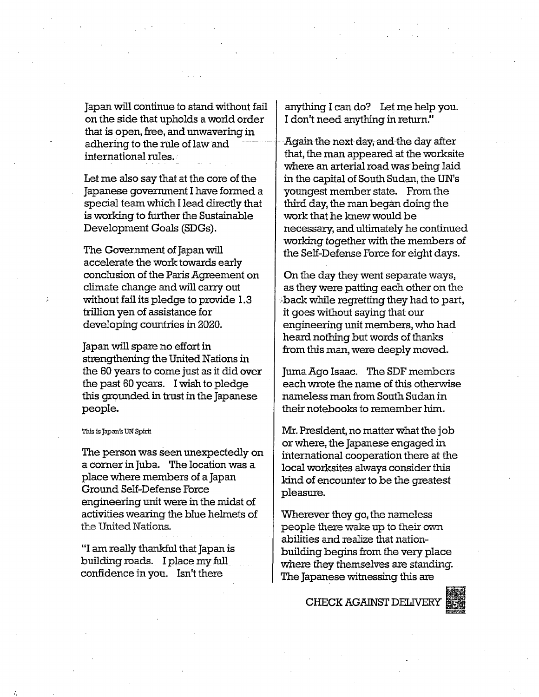Japan will continue to stand without fail on the side that upholds a world order that is open, free, and unwavering in adhering to the rule of law and international rules.

Let me also say that at the core of the Japanese government I have formed a special team which I lead directly that is working to further the Sustainable Development Goals (SDGs).

The Government of Japan will accelerate the work towards early conclusion of the Paris Agreement on climate change and will carry out without fail its pledge to provide 1.3 trillion yen of assistance for developing countries in 2020.

Japan will spare no effort in strengthening the United Nations in the 60 years to come just as it did over the past 60 years. I wish to pledge this grounded in trust in the Japanese people.

### This is Japan's UN Spirit

The person was seen unexpectedly on a corner in Juba. The location was a place where members of a Japan Ground Self-Defense Force engineering unit were in the midst of activities wearing the blue helmets of the United Nations.

"I am really thankful that Japan is building roads. I place my full confidence in you. Isn't there

anything I can do? Let me help you. I don't need anything in return."

Again the next day, and the day after that, the man appeared at the worksite where an arterial road was being laid in the capital of South Sudan, the UN's youngest member state. From the third day, the man began doing the work that he knew would be necessary, and ultimately he continued working together with the members of the Self-Defense Force for eight days.

On the day they went separate ways, as they were patting each other on the :;back while regretting they had to part, it goes without saying that our engineering unit members, who had heard nothing but words of thanks from this man, were deeply moved.

Juma Ago Isaac. The SDF members each wrote the name of this otherwise nameless man from South Sudan in their notebooks to remember him.

Mr. President, no matter what the job or where, the Japanese engaged in international cooperation there at the local worksites always consider this kind of encounter to be the greatest pleasure.

Wherever they go, the nameless people there wake up to their own abilities and realize that nationbuilding begins from the very place where they themselves are standing. The Japanese witnessing this are

CHECK AGAINST DELIVERY